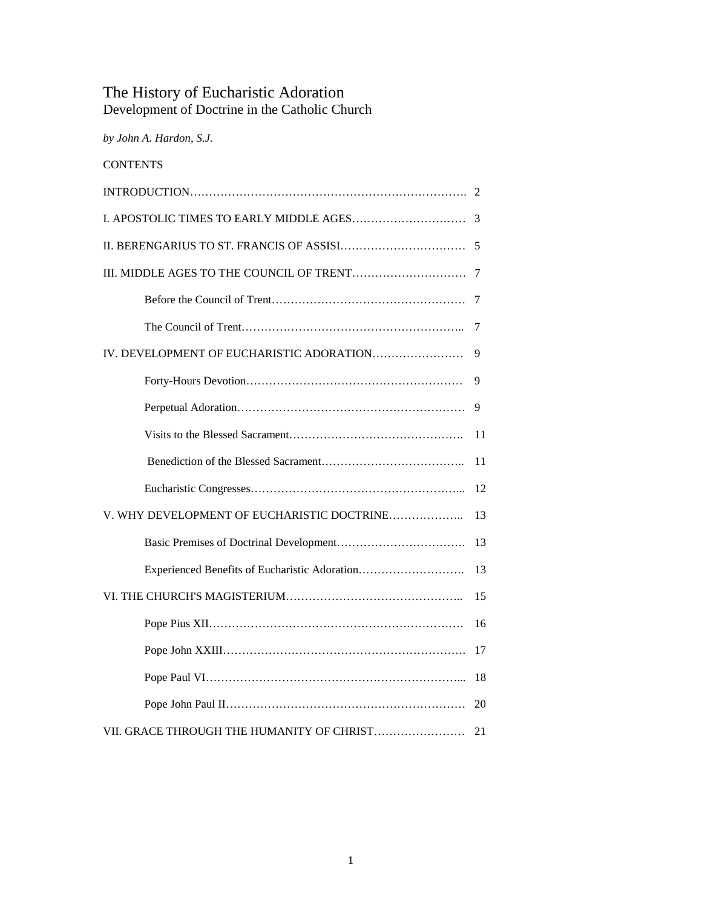## The History of Eucharistic Adoration Development of Doctrine in the Catholic Church

*by John A. Hardon, S.J.* 

**CONTENTS** 

|                                               | 2  |
|-----------------------------------------------|----|
|                                               | 3  |
|                                               |    |
|                                               | 7  |
|                                               | 7  |
|                                               | 7  |
| IV. DEVELOPMENT OF EUCHARISTIC ADORATION      | 9  |
|                                               | 9  |
|                                               | 9  |
|                                               | 11 |
|                                               | 11 |
|                                               | 12 |
| V. WHY DEVELOPMENT OF EUCHARISTIC DOCTRINE    | 13 |
|                                               | 13 |
| Experienced Benefits of Eucharistic Adoration | 13 |
|                                               | 15 |
|                                               | 16 |
|                                               | 17 |
|                                               | 18 |
|                                               | 20 |
| VII. GRACE THROUGH THE HUMANITY OF CHRIST     | 21 |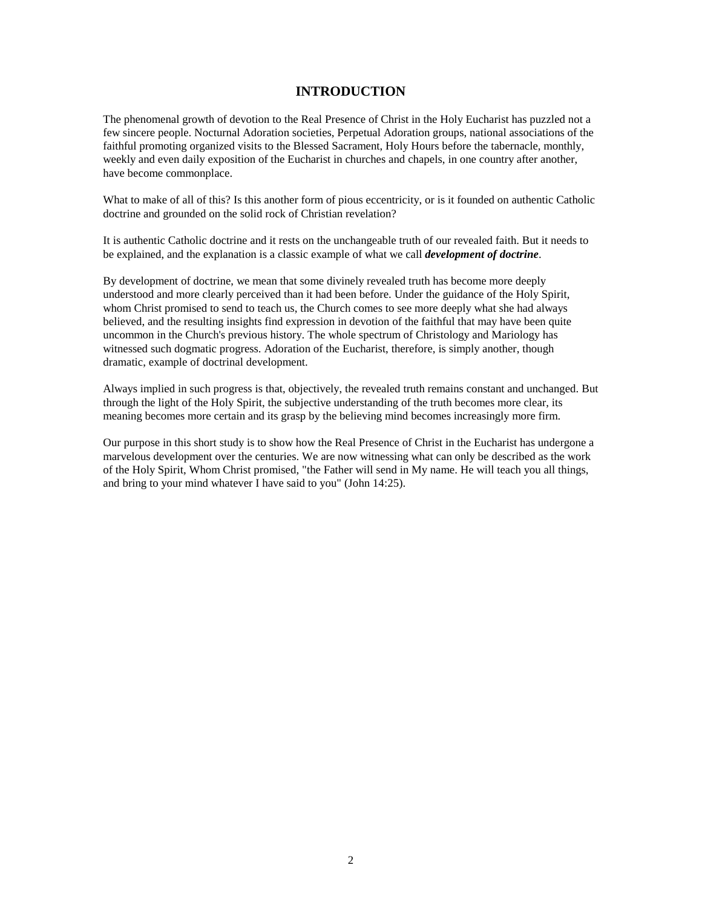#### **INTRODUCTION**

The phenomenal growth of devotion to the Real Presence of Christ in the Holy Eucharist has puzzled not a few sincere people. Nocturnal Adoration societies, Perpetual Adoration groups, national associations of the faithful promoting organized visits to the Blessed Sacrament, Holy Hours before the tabernacle, monthly, weekly and even daily exposition of the Eucharist in churches and chapels, in one country after another, have become commonplace.

What to make of all of this? Is this another form of pious eccentricity, or is it founded on authentic Catholic doctrine and grounded on the solid rock of Christian revelation?

It is authentic Catholic doctrine and it rests on the unchangeable truth of our revealed faith. But it needs to be explained, and the explanation is a classic example of what we call *development of doctrine*.

By development of doctrine, we mean that some divinely revealed truth has become more deeply understood and more clearly perceived than it had been before. Under the guidance of the Holy Spirit, whom Christ promised to send to teach us, the Church comes to see more deeply what she had always believed, and the resulting insights find expression in devotion of the faithful that may have been quite uncommon in the Church's previous history. The whole spectrum of Christology and Mariology has witnessed such dogmatic progress. Adoration of the Eucharist, therefore, is simply another, though dramatic, example of doctrinal development.

Always implied in such progress is that, objectively, the revealed truth remains constant and unchanged. But through the light of the Holy Spirit, the subjective understanding of the truth becomes more clear, its meaning becomes more certain and its grasp by the believing mind becomes increasingly more firm.

Our purpose in this short study is to show how the Real Presence of Christ in the Eucharist has undergone a marvelous development over the centuries. We are now witnessing what can only be described as the work of the Holy Spirit, Whom Christ promised, "the Father will send in My name. He will teach you all things, and bring to your mind whatever I have said to you" (John 14:25).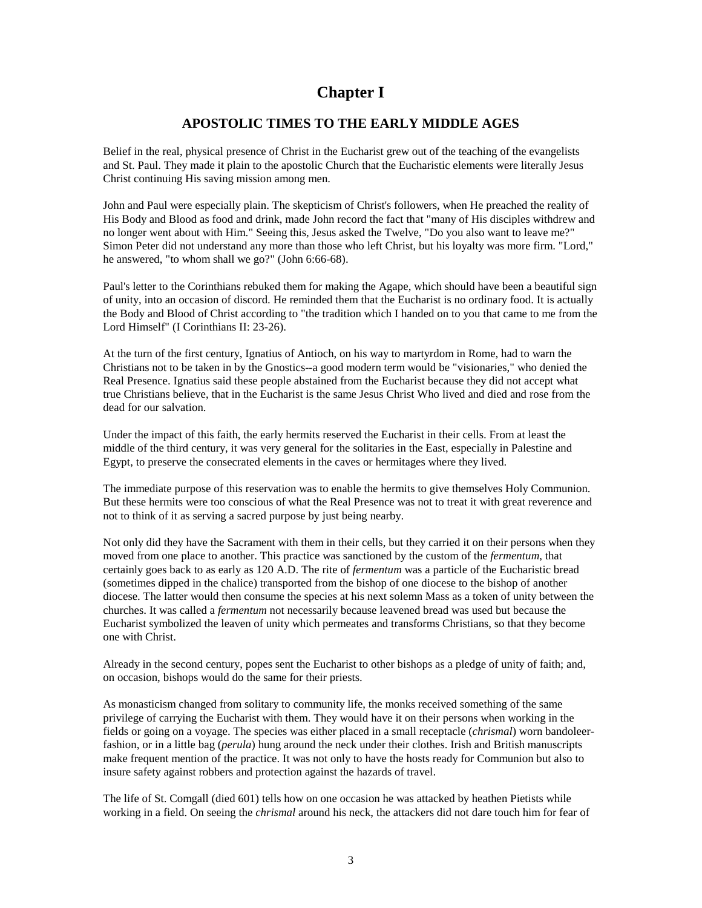# **Chapter I**

#### **APOSTOLIC TIMES TO THE EARLY MIDDLE AGES**

Belief in the real, physical presence of Christ in the Eucharist grew out of the teaching of the evangelists and St. Paul. They made it plain to the apostolic Church that the Eucharistic elements were literally Jesus Christ continuing His saving mission among men.

John and Paul were especially plain. The skepticism of Christ's followers, when He preached the reality of His Body and Blood as food and drink, made John record the fact that "many of His disciples withdrew and no longer went about with Him." Seeing this, Jesus asked the Twelve, "Do you also want to leave me?" Simon Peter did not understand any more than those who left Christ, but his loyalty was more firm. "Lord," he answered, "to whom shall we go?" (John 6:66-68).

Paul's letter to the Corinthians rebuked them for making the Agape, which should have been a beautiful sign of unity, into an occasion of discord. He reminded them that the Eucharist is no ordinary food. It is actually the Body and Blood of Christ according to "the tradition which I handed on to you that came to me from the Lord Himself" (I Corinthians II: 23-26).

At the turn of the first century, Ignatius of Antioch, on his way to martyrdom in Rome, had to warn the Christians not to be taken in by the Gnostics--a good modern term would be "visionaries," who denied the Real Presence. Ignatius said these people abstained from the Eucharist because they did not accept what true Christians believe, that in the Eucharist is the same Jesus Christ Who lived and died and rose from the dead for our salvation.

Under the impact of this faith, the early hermits reserved the Eucharist in their cells. From at least the middle of the third century, it was very general for the solitaries in the East, especially in Palestine and Egypt, to preserve the consecrated elements in the caves or hermitages where they lived.

The immediate purpose of this reservation was to enable the hermits to give themselves Holy Communion. But these hermits were too conscious of what the Real Presence was not to treat it with great reverence and not to think of it as serving a sacred purpose by just being nearby.

Not only did they have the Sacrament with them in their cells, but they carried it on their persons when they moved from one place to another. This practice was sanctioned by the custom of the *fermentum*, that certainly goes back to as early as 120 A.D. The rite of *fermentum* was a particle of the Eucharistic bread (sometimes dipped in the chalice) transported from the bishop of one diocese to the bishop of another diocese. The latter would then consume the species at his next solemn Mass as a token of unity between the churches. It was called a *fermentum* not necessarily because leavened bread was used but because the Eucharist symbolized the leaven of unity which permeates and transforms Christians, so that they become one with Christ.

Already in the second century, popes sent the Eucharist to other bishops as a pledge of unity of faith; and, on occasion, bishops would do the same for their priests.

As monasticism changed from solitary to community life, the monks received something of the same privilege of carrying the Eucharist with them. They would have it on their persons when working in the fields or going on a voyage. The species was either placed in a small receptacle (*chrismal*) worn bandoleerfashion, or in a little bag (*perula*) hung around the neck under their clothes. Irish and British manuscripts make frequent mention of the practice. It was not only to have the hosts ready for Communion but also to insure safety against robbers and protection against the hazards of travel.

The life of St. Comgall (died 601) tells how on one occasion he was attacked by heathen Pietists while working in a field. On seeing the *chrismal* around his neck, the attackers did not dare touch him for fear of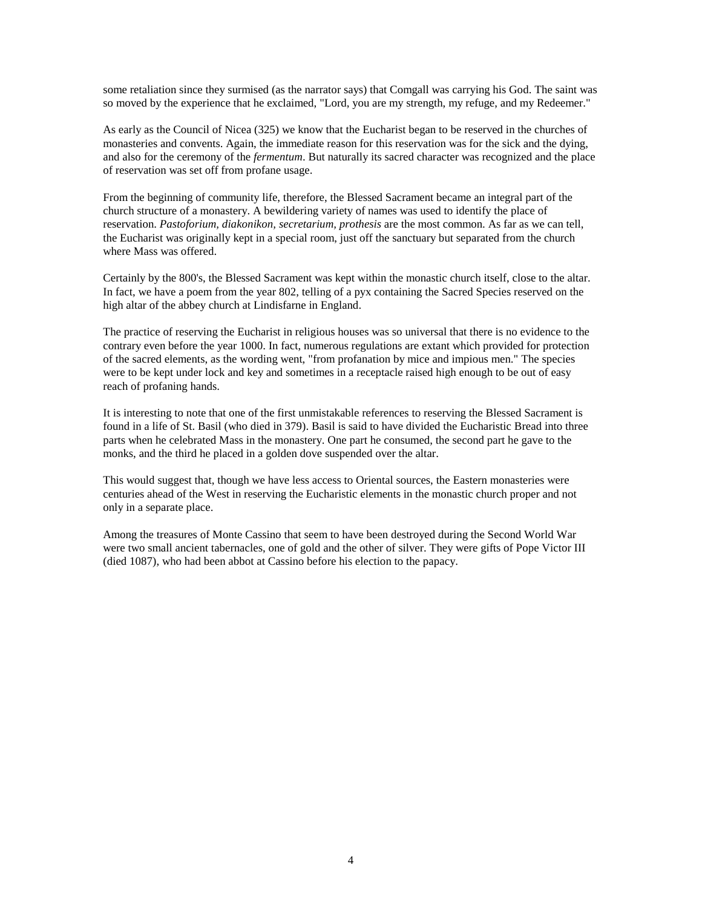some retaliation since they surmised (as the narrator says) that Comgall was carrying his God. The saint was so moved by the experience that he exclaimed, "Lord, you are my strength, my refuge, and my Redeemer."

As early as the Council of Nicea (325) we know that the Eucharist began to be reserved in the churches of monasteries and convents. Again, the immediate reason for this reservation was for the sick and the dying, and also for the ceremony of the *fermentum*. But naturally its sacred character was recognized and the place of reservation was set off from profane usage.

From the beginning of community life, therefore, the Blessed Sacrament became an integral part of the church structure of a monastery. A bewildering variety of names was used to identify the place of reservation. *Pastoforium, diakonikon, secretarium, prothesis* are the most common. As far as we can tell, the Eucharist was originally kept in a special room, just off the sanctuary but separated from the church where Mass was offered.

Certainly by the 800's, the Blessed Sacrament was kept within the monastic church itself, close to the altar. In fact, we have a poem from the year 802, telling of a pyx containing the Sacred Species reserved on the high altar of the abbey church at Lindisfarne in England.

The practice of reserving the Eucharist in religious houses was so universal that there is no evidence to the contrary even before the year 1000. In fact, numerous regulations are extant which provided for protection of the sacred elements, as the wording went, "from profanation by mice and impious men." The species were to be kept under lock and key and sometimes in a receptacle raised high enough to be out of easy reach of profaning hands.

It is interesting to note that one of the first unmistakable references to reserving the Blessed Sacrament is found in a life of St. Basil (who died in 379). Basil is said to have divided the Eucharistic Bread into three parts when he celebrated Mass in the monastery. One part he consumed, the second part he gave to the monks, and the third he placed in a golden dove suspended over the altar.

This would suggest that, though we have less access to Oriental sources, the Eastern monasteries were centuries ahead of the West in reserving the Eucharistic elements in the monastic church proper and not only in a separate place.

Among the treasures of Monte Cassino that seem to have been destroyed during the Second World War were two small ancient tabernacles, one of gold and the other of silver. They were gifts of Pope Victor III (died 1087), who had been abbot at Cassino before his election to the papacy.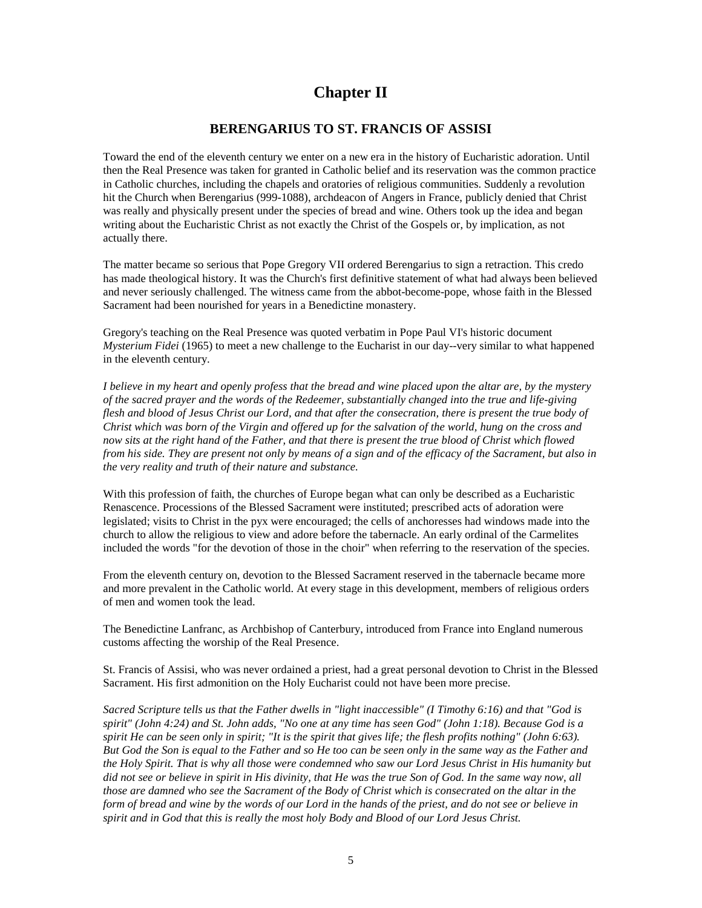# **Chapter II**

## **BERENGARIUS TO ST. FRANCIS OF ASSISI**

Toward the end of the eleventh century we enter on a new era in the history of Eucharistic adoration. Until then the Real Presence was taken for granted in Catholic belief and its reservation was the common practice in Catholic churches, including the chapels and oratories of religious communities. Suddenly a revolution hit the Church when Berengarius (999-1088), archdeacon of Angers in France, publicly denied that Christ was really and physically present under the species of bread and wine. Others took up the idea and began writing about the Eucharistic Christ as not exactly the Christ of the Gospels or, by implication, as not actually there.

The matter became so serious that Pope Gregory VII ordered Berengarius to sign a retraction. This credo has made theological history. It was the Church's first definitive statement of what had always been believed and never seriously challenged. The witness came from the abbot-become-pope, whose faith in the Blessed Sacrament had been nourished for years in a Benedictine monastery.

Gregory's teaching on the Real Presence was quoted verbatim in Pope Paul VI's historic document *Mysterium Fidei* (1965) to meet a new challenge to the Eucharist in our day--very similar to what happened in the eleventh century.

*I believe in my heart and openly profess that the bread and wine placed upon the altar are, by the mystery of the sacred prayer and the words of the Redeemer, substantially changed into the true and life-giving flesh and blood of Jesus Christ our Lord, and that after the consecration, there is present the true body of Christ which was born of the Virgin and offered up for the salvation of the world, hung on the cross and now sits at the right hand of the Father, and that there is present the true blood of Christ which flowed from his side. They are present not only by means of a sign and of the efficacy of the Sacrament, but also in the very reality and truth of their nature and substance.* 

With this profession of faith, the churches of Europe began what can only be described as a Eucharistic Renascence. Processions of the Blessed Sacrament were instituted; prescribed acts of adoration were legislated; visits to Christ in the pyx were encouraged; the cells of anchoresses had windows made into the church to allow the religious to view and adore before the tabernacle. An early ordinal of the Carmelites included the words "for the devotion of those in the choir" when referring to the reservation of the species.

From the eleventh century on, devotion to the Blessed Sacrament reserved in the tabernacle became more and more prevalent in the Catholic world. At every stage in this development, members of religious orders of men and women took the lead.

The Benedictine Lanfranc, as Archbishop of Canterbury, introduced from France into England numerous customs affecting the worship of the Real Presence.

St. Francis of Assisi, who was never ordained a priest, had a great personal devotion to Christ in the Blessed Sacrament. His first admonition on the Holy Eucharist could not have been more precise.

*Sacred Scripture tells us that the Father dwells in "light inaccessible" (I Timothy 6:16) and that "God is spirit" (John 4:24) and St. John adds, "No one at any time has seen God" (John 1:18). Because God is a spirit He can be seen only in spirit; "It is the spirit that gives life; the flesh profits nothing" (John 6:63). But God the Son is equal to the Father and so He too can be seen only in the same way as the Father and the Holy Spirit. That is why all those were condemned who saw our Lord Jesus Christ in His humanity but did not see or believe in spirit in His divinity, that He was the true Son of God. In the same way now, all those are damned who see the Sacrament of the Body of Christ which is consecrated on the altar in the form of bread and wine by the words of our Lord in the hands of the priest, and do not see or believe in spirit and in God that this is really the most holy Body and Blood of our Lord Jesus Christ.*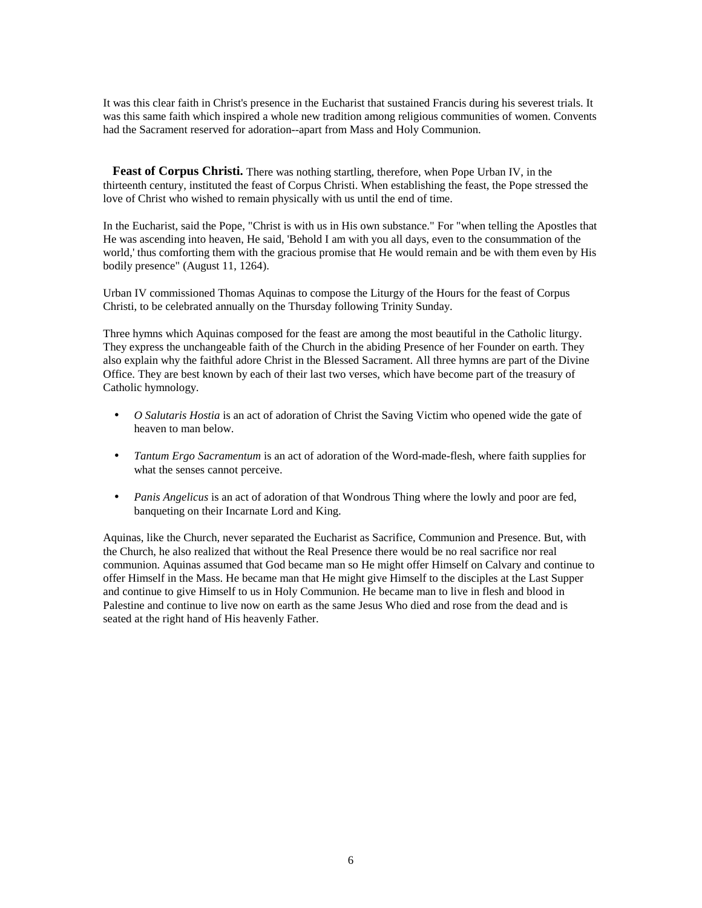It was this clear faith in Christ's presence in the Eucharist that sustained Francis during his severest trials. It was this same faith which inspired a whole new tradition among religious communities of women. Convents had the Sacrament reserved for adoration--apart from Mass and Holy Communion.

**Feast of Corpus Christi.** There was nothing startling, therefore, when Pope Urban IV, in the thirteenth century, instituted the feast of Corpus Christi. When establishing the feast, the Pope stressed the love of Christ who wished to remain physically with us until the end of time.

In the Eucharist, said the Pope, "Christ is with us in His own substance." For "when telling the Apostles that He was ascending into heaven, He said, 'Behold I am with you all days, even to the consummation of the world,' thus comforting them with the gracious promise that He would remain and be with them even by His bodily presence" (August 11, 1264).

Urban IV commissioned Thomas Aquinas to compose the Liturgy of the Hours for the feast of Corpus Christi, to be celebrated annually on the Thursday following Trinity Sunday.

Three hymns which Aquinas composed for the feast are among the most beautiful in the Catholic liturgy. They express the unchangeable faith of the Church in the abiding Presence of her Founder on earth. They also explain why the faithful adore Christ in the Blessed Sacrament. All three hymns are part of the Divine Office. They are best known by each of their last two verses, which have become part of the treasury of Catholic hymnology.

- *O Salutaris Hostia* is an act of adoration of Christ the Saving Victim who opened wide the gate of heaven to man below.
- *Tantum Ergo Sacramentum* is an act of adoration of the Word-made-flesh, where faith supplies for what the senses cannot perceive.
- *Panis Angelicus* is an act of adoration of that Wondrous Thing where the lowly and poor are fed, banqueting on their Incarnate Lord and King.

Aquinas, like the Church, never separated the Eucharist as Sacrifice, Communion and Presence. But, with the Church, he also realized that without the Real Presence there would be no real sacrifice nor real communion. Aquinas assumed that God became man so He might offer Himself on Calvary and continue to offer Himself in the Mass. He became man that He might give Himself to the disciples at the Last Supper and continue to give Himself to us in Holy Communion. He became man to live in flesh and blood in Palestine and continue to live now on earth as the same Jesus Who died and rose from the dead and is seated at the right hand of His heavenly Father.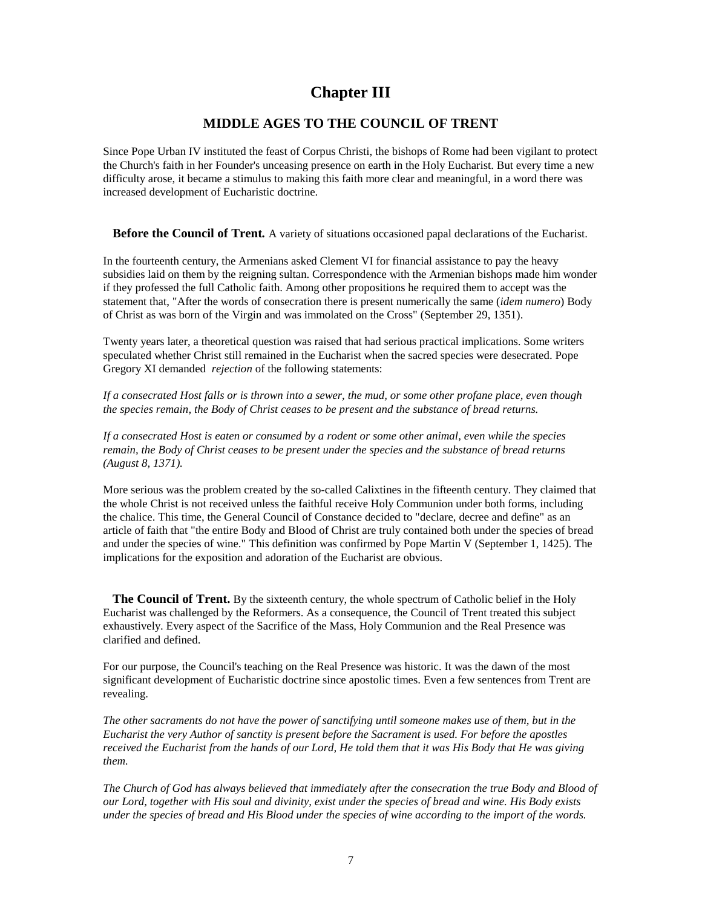# **Chapter III**

### **MIDDLE AGES TO THE COUNCIL OF TRENT**

Since Pope Urban IV instituted the feast of Corpus Christi, the bishops of Rome had been vigilant to protect the Church's faith in her Founder's unceasing presence on earth in the Holy Eucharist. But every time a new difficulty arose, it became a stimulus to making this faith more clear and meaningful, in a word there was increased development of Eucharistic doctrine.

**Before the Council of Trent.** A variety of situations occasioned papal declarations of the Eucharist.

In the fourteenth century, the Armenians asked Clement VI for financial assistance to pay the heavy subsidies laid on them by the reigning sultan. Correspondence with the Armenian bishops made him wonder if they professed the full Catholic faith. Among other propositions he required them to accept was the statement that, "After the words of consecration there is present numerically the same (*idem numero*) Body of Christ as was born of the Virgin and was immolated on the Cross" (September 29, 1351).

Twenty years later, a theoretical question was raised that had serious practical implications. Some writers speculated whether Christ still remained in the Eucharist when the sacred species were desecrated. Pope Gregory XI demanded *rejection* of the following statements:

*If a consecrated Host falls or is thrown into a sewer, the mud, or some other profane place, even though the species remain, the Body of Christ ceases to be present and the substance of bread returns.* 

*If a consecrated Host is eaten or consumed by a rodent or some other animal, even while the species remain, the Body of Christ ceases to be present under the species and the substance of bread returns (August 8, 1371).* 

More serious was the problem created by the so-called Calixtines in the fifteenth century. They claimed that the whole Christ is not received unless the faithful receive Holy Communion under both forms, including the chalice. This time, the General Council of Constance decided to "declare, decree and define" as an article of faith that "the entire Body and Blood of Christ are truly contained both under the species of bread and under the species of wine." This definition was confirmed by Pope Martin V (September 1, 1425). The implications for the exposition and adoration of the Eucharist are obvious.

**The Council of Trent.** By the sixteenth century, the whole spectrum of Catholic belief in the Holy Eucharist was challenged by the Reformers. As a consequence, the Council of Trent treated this subject exhaustively. Every aspect of the Sacrifice of the Mass, Holy Communion and the Real Presence was clarified and defined.

For our purpose, the Council's teaching on the Real Presence was historic. It was the dawn of the most significant development of Eucharistic doctrine since apostolic times. Even a few sentences from Trent are revealing.

*The other sacraments do not have the power of sanctifying until someone makes use of them, but in the Eucharist the very Author of sanctity is present before the Sacrament is used. For before the apostles received the Eucharist from the hands of our Lord, He told them that it was His Body that He was giving them.* 

*The Church of God has always believed that immediately after the consecration the true Body and Blood of our Lord, together with His soul and divinity, exist under the species of bread and wine. His Body exists under the species of bread and His Blood under the species of wine according to the import of the words.*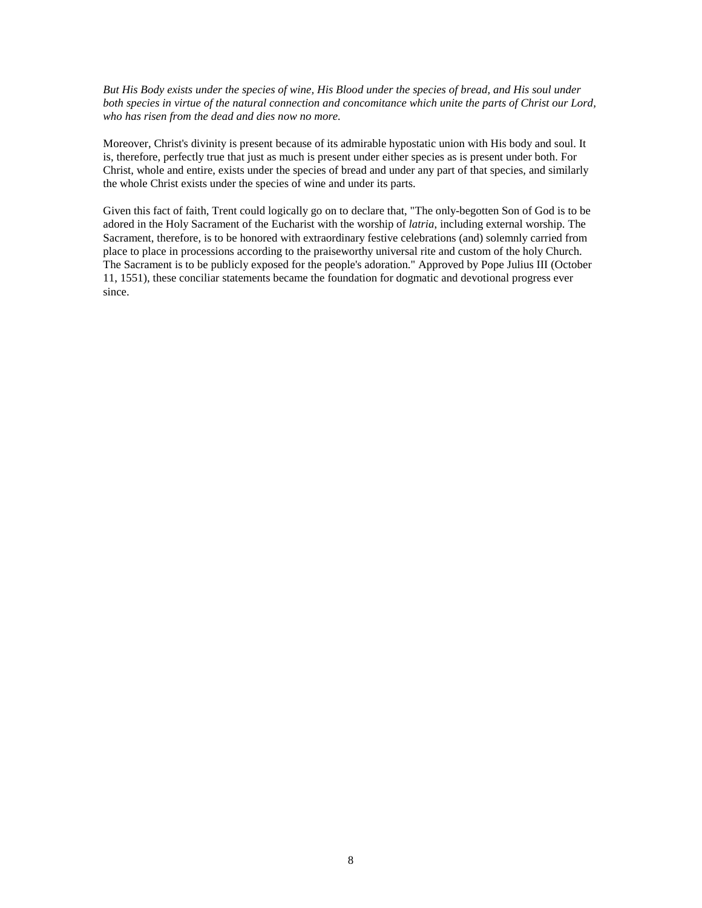*But His Body exists under the species of wine, His Blood under the species of bread, and His soul under both species in virtue of the natural connection and concomitance which unite the parts of Christ our Lord, who has risen from the dead and dies now no more.* 

Moreover, Christ's divinity is present because of its admirable hypostatic union with His body and soul. It is, therefore, perfectly true that just as much is present under either species as is present under both. For Christ, whole and entire, exists under the species of bread and under any part of that species, and similarly the whole Christ exists under the species of wine and under its parts.

Given this fact of faith, Trent could logically go on to declare that, "The only-begotten Son of God is to be adored in the Holy Sacrament of the Eucharist with the worship of *latria*, including external worship. The Sacrament, therefore, is to be honored with extraordinary festive celebrations (and) solemnly carried from place to place in processions according to the praiseworthy universal rite and custom of the holy Church. The Sacrament is to be publicly exposed for the people's adoration." Approved by Pope Julius III (October 11, 1551), these conciliar statements became the foundation for dogmatic and devotional progress ever since.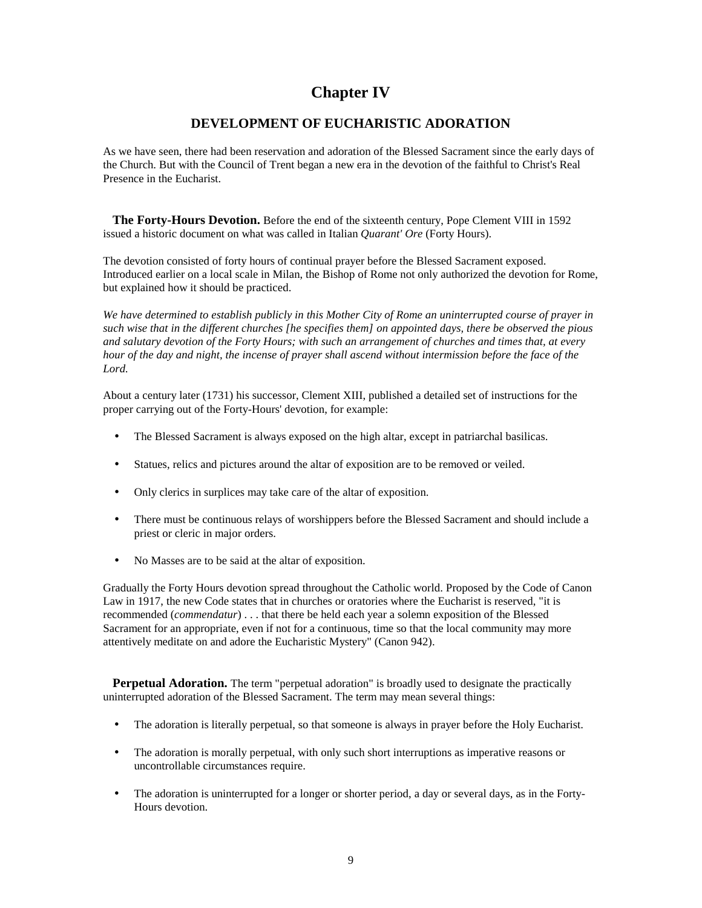# **Chapter IV**

## **DEVELOPMENT OF EUCHARISTIC ADORATION**

As we have seen, there had been reservation and adoration of the Blessed Sacrament since the early days of the Church. But with the Council of Trent began a new era in the devotion of the faithful to Christ's Real Presence in the Eucharist.

**The Forty-Hours Devotion.** Before the end of the sixteenth century, Pope Clement VIII in 1592 issued a historic document on what was called in Italian *Quarant' Ore* (Forty Hours).

The devotion consisted of forty hours of continual prayer before the Blessed Sacrament exposed. Introduced earlier on a local scale in Milan, the Bishop of Rome not only authorized the devotion for Rome, but explained how it should be practiced.

*We have determined to establish publicly in this Mother City of Rome an uninterrupted course of prayer in such wise that in the different churches [he specifies them] on appointed days, there be observed the pious and salutary devotion of the Forty Hours; with such an arrangement of churches and times that, at every hour of the day and night, the incense of prayer shall ascend without intermission before the face of the Lord.* 

About a century later (1731) his successor, Clement XIII, published a detailed set of instructions for the proper carrying out of the Forty-Hours' devotion, for example:

- The Blessed Sacrament is always exposed on the high altar, except in patriarchal basilicas.
- Statues, relics and pictures around the altar of exposition are to be removed or veiled.
- Only clerics in surplices may take care of the altar of exposition.
- There must be continuous relays of worshippers before the Blessed Sacrament and should include a priest or cleric in major orders.
- No Masses are to be said at the altar of exposition.

Gradually the Forty Hours devotion spread throughout the Catholic world. Proposed by the Code of Canon Law in 1917, the new Code states that in churches or oratories where the Eucharist is reserved, "it is recommended (*commendatur*) . . . that there be held each year a solemn exposition of the Blessed Sacrament for an appropriate, even if not for a continuous, time so that the local community may more attentively meditate on and adore the Eucharistic Mystery" (Canon 942).

**Perpetual Adoration.** The term "perpetual adoration" is broadly used to designate the practically uninterrupted adoration of the Blessed Sacrament. The term may mean several things:

- The adoration is literally perpetual, so that someone is always in prayer before the Holy Eucharist.
- The adoration is morally perpetual, with only such short interruptions as imperative reasons or uncontrollable circumstances require.
- The adoration is uninterrupted for a longer or shorter period, a day or several days, as in the Forty-Hours devotion.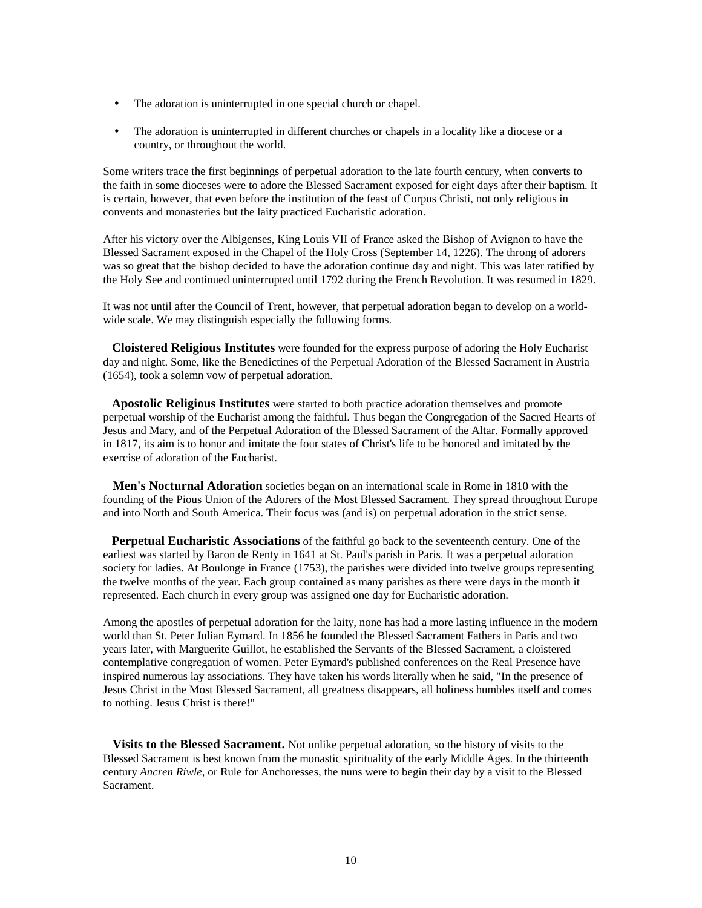- The adoration is uninterrupted in one special church or chapel.
- The adoration is uninterrupted in different churches or chapels in a locality like a diocese or a country, or throughout the world.

Some writers trace the first beginnings of perpetual adoration to the late fourth century, when converts to the faith in some dioceses were to adore the Blessed Sacrament exposed for eight days after their baptism. It is certain, however, that even before the institution of the feast of Corpus Christi, not only religious in convents and monasteries but the laity practiced Eucharistic adoration.

After his victory over the Albigenses, King Louis VII of France asked the Bishop of Avignon to have the Blessed Sacrament exposed in the Chapel of the Holy Cross (September 14, 1226). The throng of adorers was so great that the bishop decided to have the adoration continue day and night. This was later ratified by the Holy See and continued uninterrupted until 1792 during the French Revolution. It was resumed in 1829.

It was not until after the Council of Trent, however, that perpetual adoration began to develop on a worldwide scale. We may distinguish especially the following forms.

**Cloistered Religious Institutes** were founded for the express purpose of adoring the Holy Eucharist day and night. Some, like the Benedictines of the Perpetual Adoration of the Blessed Sacrament in Austria (1654), took a solemn vow of perpetual adoration.

**Apostolic Religious Institutes** were started to both practice adoration themselves and promote perpetual worship of the Eucharist among the faithful. Thus began the Congregation of the Sacred Hearts of Jesus and Mary, and of the Perpetual Adoration of the Blessed Sacrament of the Altar. Formally approved in 1817, its aim is to honor and imitate the four states of Christ's life to be honored and imitated by the exercise of adoration of the Eucharist.

 **Men's Nocturnal Adoration** societies began on an international scale in Rome in 1810 with the founding of the Pious Union of the Adorers of the Most Blessed Sacrament. They spread throughout Europe and into North and South America. Their focus was (and is) on perpetual adoration in the strict sense.

**Perpetual Eucharistic Associations** of the faithful go back to the seventeenth century. One of the earliest was started by Baron de Renty in 1641 at St. Paul's parish in Paris. It was a perpetual adoration society for ladies. At Boulonge in France (1753), the parishes were divided into twelve groups representing the twelve months of the year. Each group contained as many parishes as there were days in the month it represented. Each church in every group was assigned one day for Eucharistic adoration.

Among the apostles of perpetual adoration for the laity, none has had a more lasting influence in the modern world than St. Peter Julian Eymard. In 1856 he founded the Blessed Sacrament Fathers in Paris and two years later, with Marguerite Guillot, he established the Servants of the Blessed Sacrament, a cloistered contemplative congregation of women. Peter Eymard's published conferences on the Real Presence have inspired numerous lay associations. They have taken his words literally when he said, "In the presence of Jesus Christ in the Most Blessed Sacrament, all greatness disappears, all holiness humbles itself and comes to nothing. Jesus Christ is there!"

**Visits to the Blessed Sacrament.** Not unlike perpetual adoration, so the history of visits to the Blessed Sacrament is best known from the monastic spirituality of the early Middle Ages. In the thirteenth century *Ancren Riwle*, or Rule for Anchoresses, the nuns were to begin their day by a visit to the Blessed Sacrament.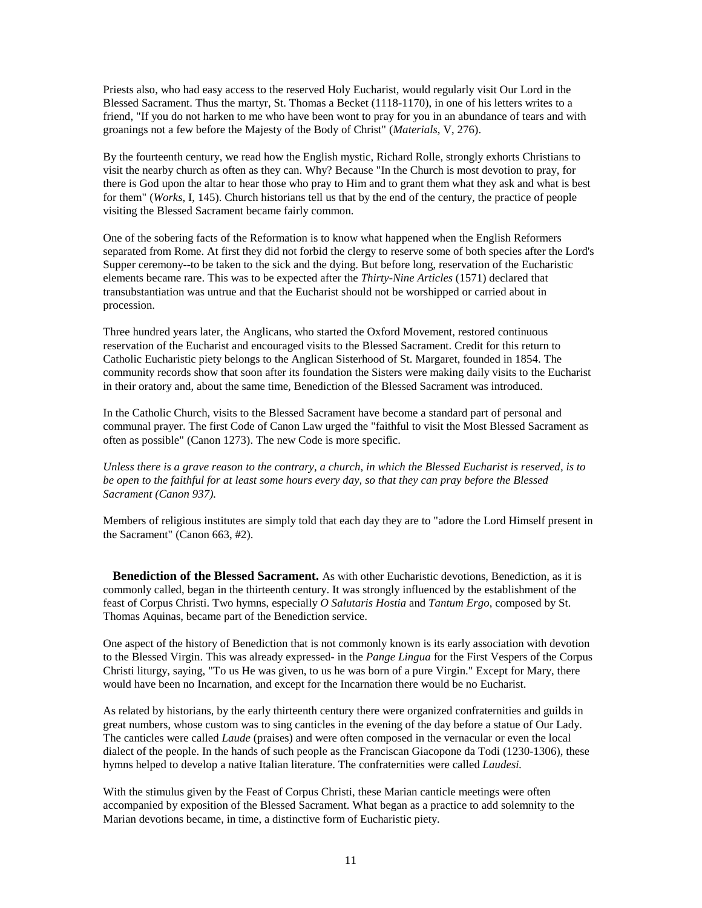Priests also, who had easy access to the reserved Holy Eucharist, would regularly visit Our Lord in the Blessed Sacrament. Thus the martyr, St. Thomas a Becket (1118-1170), in one of his letters writes to a friend, "If you do not harken to me who have been wont to pray for you in an abundance of tears and with groanings not a few before the Majesty of the Body of Christ" (*Materials*, V, 276).

By the fourteenth century, we read how the English mystic, Richard Rolle, strongly exhorts Christians to visit the nearby church as often as they can. Why? Because "In the Church is most devotion to pray, for there is God upon the altar to hear those who pray to Him and to grant them what they ask and what is best for them" (*Works*, I, 145). Church historians tell us that by the end of the century, the practice of people visiting the Blessed Sacrament became fairly common.

One of the sobering facts of the Reformation is to know what happened when the English Reformers separated from Rome. At first they did not forbid the clergy to reserve some of both species after the Lord's Supper ceremony--to be taken to the sick and the dying. But before long, reservation of the Eucharistic elements became rare. This was to be expected after the *Thirty-Nine Articles* (1571) declared that transubstantiation was untrue and that the Eucharist should not be worshipped or carried about in procession.

Three hundred years later, the Anglicans, who started the Oxford Movement, restored continuous reservation of the Eucharist and encouraged visits to the Blessed Sacrament. Credit for this return to Catholic Eucharistic piety belongs to the Anglican Sisterhood of St. Margaret, founded in 1854. The community records show that soon after its foundation the Sisters were making daily visits to the Eucharist in their oratory and, about the same time, Benediction of the Blessed Sacrament was introduced.

In the Catholic Church, visits to the Blessed Sacrament have become a standard part of personal and communal prayer. The first Code of Canon Law urged the "faithful to visit the Most Blessed Sacrament as often as possible" (Canon 1273). The new Code is more specific.

*Unless there is a grave reason to the contrary, a church, in which the Blessed Eucharist is reserved, is to be open to the faithful for at least some hours every day, so that they can pray before the Blessed Sacrament (Canon 937).* 

Members of religious institutes are simply told that each day they are to "adore the Lord Himself present in the Sacrament" (Canon 663, #2).

**Benediction of the Blessed Sacrament.** As with other Eucharistic devotions, Benediction, as it is commonly called, began in the thirteenth century. It was strongly influenced by the establishment of the feast of Corpus Christi. Two hymns, especially *O Salutaris Hostia* and *Tantum Ergo*, composed by St. Thomas Aquinas, became part of the Benediction service.

One aspect of the history of Benediction that is not commonly known is its early association with devotion to the Blessed Virgin. This was already expressed- in the *Pange Lingua* for the First Vespers of the Corpus Christi liturgy, saying, "To us He was given, to us he was born of a pure Virgin." Except for Mary, there would have been no Incarnation, and except for the Incarnation there would be no Eucharist.

As related by historians, by the early thirteenth century there were organized confraternities and guilds in great numbers, whose custom was to sing canticles in the evening of the day before a statue of Our Lady. The canticles were called *Laude* (praises) and were often composed in the vernacular or even the local dialect of the people. In the hands of such people as the Franciscan Giacopone da Todi (1230-1306), these hymns helped to develop a native Italian literature. The confraternities were called *Laudesi.* 

With the stimulus given by the Feast of Corpus Christi, these Marian canticle meetings were often accompanied by exposition of the Blessed Sacrament. What began as a practice to add solemnity to the Marian devotions became, in time, a distinctive form of Eucharistic piety.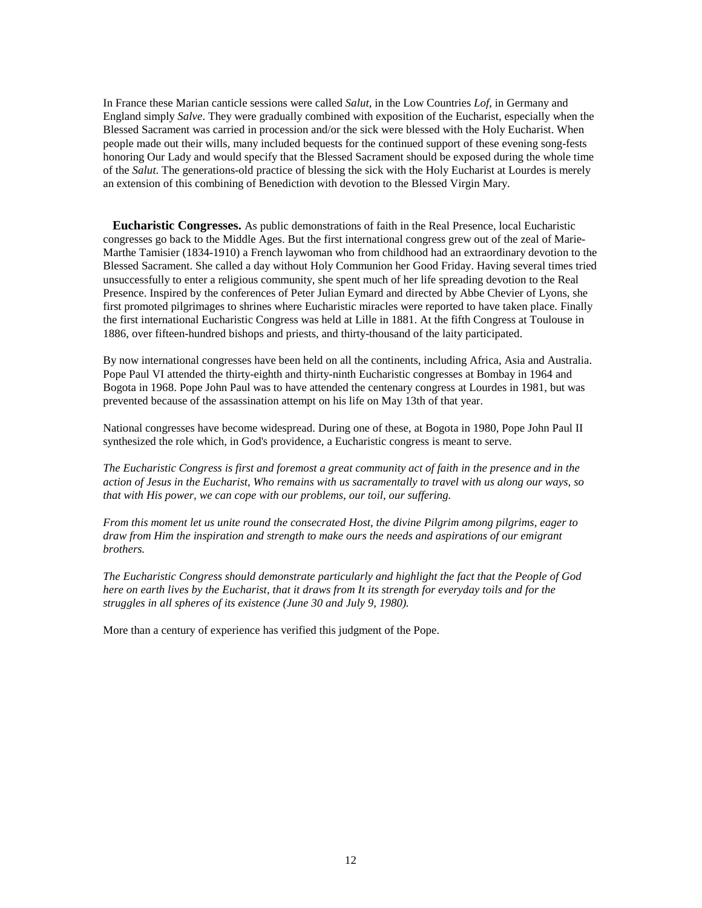In France these Marian canticle sessions were called *Salut*, in the Low Countries *Lof*, in Germany and England simply *Salve*. They were gradually combined with exposition of the Eucharist, especially when the Blessed Sacrament was carried in procession and/or the sick were blessed with the Holy Eucharist. When people made out their wills, many included bequests for the continued support of these evening song-fests honoring Our Lady and would specify that the Blessed Sacrament should be exposed during the whole time of the *Salut*. The generations-old practice of blessing the sick with the Holy Eucharist at Lourdes is merely an extension of this combining of Benediction with devotion to the Blessed Virgin Mary.

**Eucharistic Congresses.** As public demonstrations of faith in the Real Presence, local Eucharistic congresses go back to the Middle Ages. But the first international congress grew out of the zeal of Marie-Marthe Tamisier (1834-1910) a French laywoman who from childhood had an extraordinary devotion to the Blessed Sacrament. She called a day without Holy Communion her Good Friday. Having several times tried unsuccessfully to enter a religious community, she spent much of her life spreading devotion to the Real Presence. Inspired by the conferences of Peter Julian Eymard and directed by Abbe Chevier of Lyons, she first promoted pilgrimages to shrines where Eucharistic miracles were reported to have taken place. Finally the first international Eucharistic Congress was held at Lille in 1881. At the fifth Congress at Toulouse in 1886, over fifteen-hundred bishops and priests, and thirty-thousand of the laity participated.

By now international congresses have been held on all the continents, including Africa, Asia and Australia. Pope Paul VI attended the thirty-eighth and thirty-ninth Eucharistic congresses at Bombay in 1964 and Bogota in 1968. Pope John Paul was to have attended the centenary congress at Lourdes in 1981, but was prevented because of the assassination attempt on his life on May 13th of that year.

National congresses have become widespread. During one of these, at Bogota in 1980, Pope John Paul II synthesized the role which, in God's providence, a Eucharistic congress is meant to serve.

*The Eucharistic Congress is first and foremost a great community act of faith in the presence and in the action of Jesus in the Eucharist, Who remains with us sacramentally to travel with us along our ways, so that with His power, we can cope with our problems, our toil, our suffering.* 

*From this moment let us unite round the consecrated Host, the divine Pilgrim among pilgrims, eager to draw from Him the inspiration and strength to make ours the needs and aspirations of our emigrant brothers.* 

*The Eucharistic Congress should demonstrate particularly and highlight the fact that the People of God here on earth lives by the Eucharist, that it draws from It its strength for everyday toils and for the struggles in all spheres of its existence (June 30 and July 9, 1980).* 

More than a century of experience has verified this judgment of the Pope.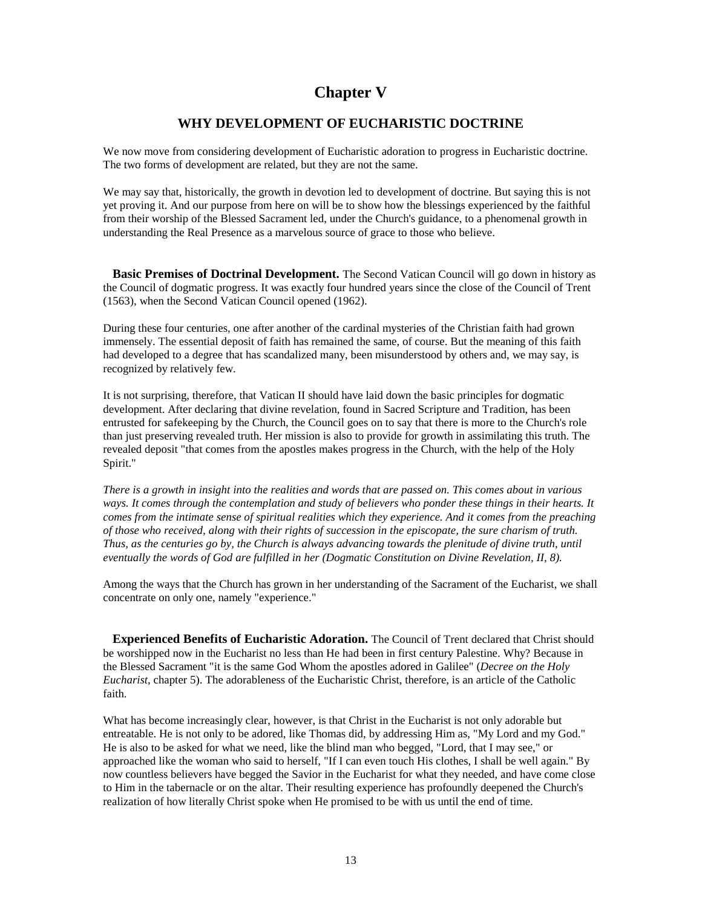## **Chapter V**

#### **WHY DEVELOPMENT OF EUCHARISTIC DOCTRINE**

We now move from considering development of Eucharistic adoration to progress in Eucharistic doctrine. The two forms of development are related, but they are not the same.

We may say that, historically, the growth in devotion led to development of doctrine. But saying this is not yet proving it. And our purpose from here on will be to show how the blessings experienced by the faithful from their worship of the Blessed Sacrament led, under the Church's guidance, to a phenomenal growth in understanding the Real Presence as a marvelous source of grace to those who believe.

 **Basic Premises of Doctrinal Development.** The Second Vatican Council will go down in history as the Council of dogmatic progress. It was exactly four hundred years since the close of the Council of Trent (1563), when the Second Vatican Council opened (1962).

During these four centuries, one after another of the cardinal mysteries of the Christian faith had grown immensely. The essential deposit of faith has remained the same, of course. But the meaning of this faith had developed to a degree that has scandalized many, been misunderstood by others and, we may say, is recognized by relatively few.

It is not surprising, therefore, that Vatican II should have laid down the basic principles for dogmatic development. After declaring that divine revelation, found in Sacred Scripture and Tradition, has been entrusted for safekeeping by the Church, the Council goes on to say that there is more to the Church's role than just preserving revealed truth. Her mission is also to provide for growth in assimilating this truth. The revealed deposit "that comes from the apostles makes progress in the Church, with the help of the Holy Spirit."

*There is a growth in insight into the realities and words that are passed on. This comes about in various*  ways. It comes through the contemplation and study of believers who ponder these things in their hearts. It *comes from the intimate sense of spiritual realities which they experience. And it comes from the preaching of those who received, along with their rights of succession in the episcopate, the sure charism of truth. Thus, as the centuries go by, the Church is always advancing towards the plenitude of divine truth, until eventually the words of God are fulfilled in her (Dogmatic Constitution on Divine Revelation, II, 8).* 

Among the ways that the Church has grown in her understanding of the Sacrament of the Eucharist, we shall concentrate on only one, namely "experience."

**Experienced Benefits of Eucharistic Adoration.** The Council of Trent declared that Christ should be worshipped now in the Eucharist no less than He had been in first century Palestine. Why? Because in the Blessed Sacrament "it is the same God Whom the apostles adored in Galilee" (*Decree on the Holy Eucharist*, chapter 5). The adorableness of the Eucharistic Christ, therefore, is an article of the Catholic faith.

What has become increasingly clear, however, is that Christ in the Eucharist is not only adorable but entreatable. He is not only to be adored, like Thomas did, by addressing Him as, "My Lord and my God." He is also to be asked for what we need, like the blind man who begged, "Lord, that I may see," or approached like the woman who said to herself, "If I can even touch His clothes, I shall be well again." By now countless believers have begged the Savior in the Eucharist for what they needed, and have come close to Him in the tabernacle or on the altar. Their resulting experience has profoundly deepened the Church's realization of how literally Christ spoke when He promised to be with us until the end of time.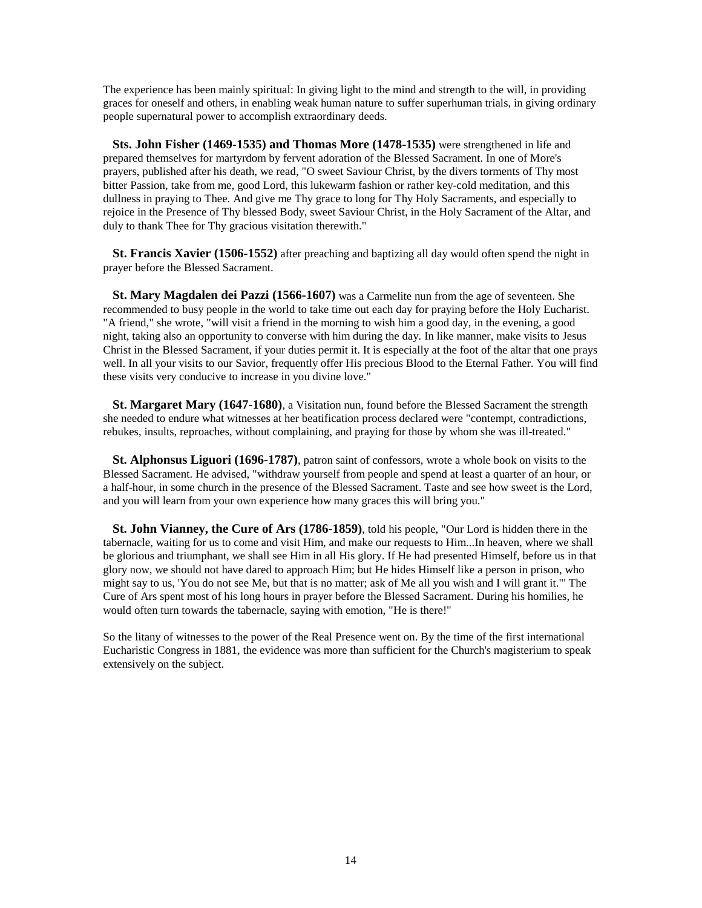The experience has been mainly spiritual: In giving light to the mind and strength to the will, in providing graces for oneself and others, in enabling weak human nature to suffer superhuman trials, in giving ordinary people supernatural power to accomplish extraordinary deeds.

 **Sts. John Fisher (1469-1535) and Thomas More (1478-1535)** were strengthened in life and prepared themselves for martyrdom by fervent adoration of the Blessed Sacrament. In one of More's prayers, published after his death, we read, "O sweet Saviour Christ, by the divers torments of Thy most bitter Passion, take from me, good Lord, this lukewarm fashion or rather key-cold meditation, and this dullness in praying to Thee. And give me Thy grace to long for Thy Holy Sacraments, and especially to rejoice in the Presence of Thy blessed Body, sweet Saviour Christ, in the Holy Sacrament of the Altar, and duly to thank Thee for Thy gracious visitation therewith."

 **St. Francis Xavier (1506-1552)** after preaching and baptizing all day would often spend the night in prayer before the Blessed Sacrament.

**St. Mary Magdalen dei Pazzi (1566-1607)** was a Carmelite nun from the age of seventeen. She recommended to busy people in the world to take time out each day for praying before the Holy Eucharist. "A friend," she wrote, "will visit a friend in the morning to wish him a good day, in the evening, a good night, taking also an opportunity to converse with him during the day. In like manner, make visits to Jesus Christ in the Blessed Sacrament, if your duties permit it. It is especially at the foot of the altar that one prays well. In all your visits to our Savior, frequently offer His precious Blood to the Eternal Father. You will find these visits very conducive to increase in you divine love."

**St. Margaret Mary (1647-1680)**, a Visitation nun, found before the Blessed Sacrament the strength she needed to endure what witnesses at her beatification process declared were "contempt, contradictions, rebukes, insults, reproaches, without complaining, and praying for those by whom she was ill-treated."

**St. Alphonsus Liguori (1696-1787)**, patron saint of confessors, wrote a whole book on visits to the Blessed Sacrament. He advised, "withdraw yourself from people and spend at least a quarter of an hour, or a half-hour, in some church in the presence of the Blessed Sacrament. Taste and see how sweet is the Lord, and you will learn from your own experience how many graces this will bring you."

 **St. John Vianney, the Cure of Ars (1786-1859)**, told his people, "Our Lord is hidden there in the tabernacle, waiting for us to come and visit Him, and make our requests to Him...In heaven, where we shall be glorious and triumphant, we shall see Him in all His glory. If He had presented Himself, before us in that glory now, we should not have dared to approach Him; but He hides Himself like a person in prison, who might say to us, 'You do not see Me, but that is no matter; ask of Me all you wish and I will grant it."' The Cure of Ars spent most of his long hours in prayer before the Blessed Sacrament. During his homilies, he would often turn towards the tabernacle, saying with emotion, "He is there!"

So the litany of witnesses to the power of the Real Presence went on. By the time of the first international Eucharistic Congress in 1881, the evidence was more than sufficient for the Church's magisterium to speak extensively on the subject.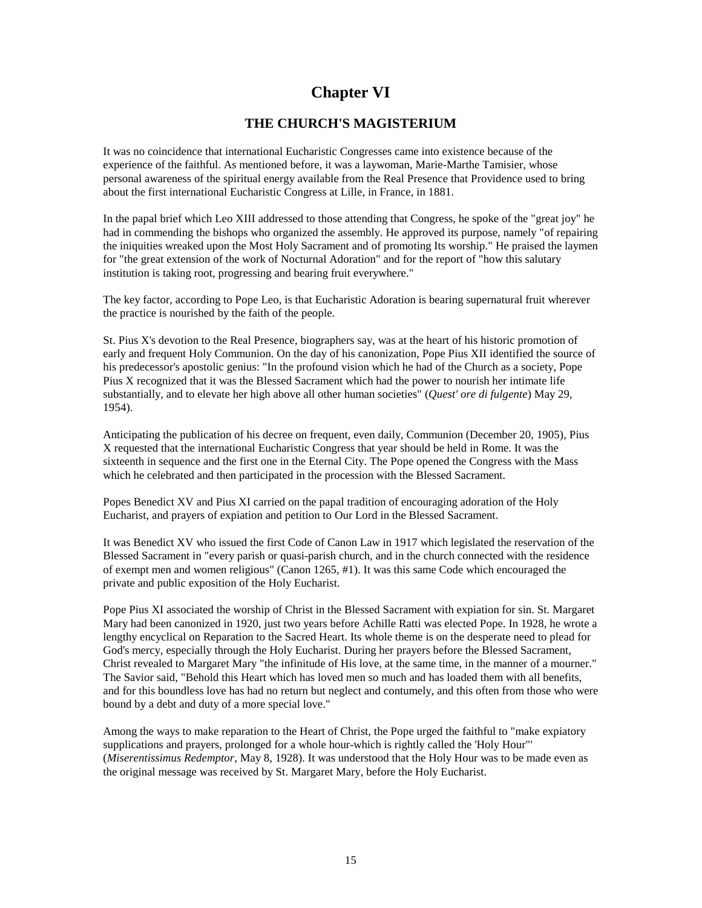# **Chapter VI**

### **THE CHURCH'S MAGISTERIUM**

It was no coincidence that international Eucharistic Congresses came into existence because of the experience of the faithful. As mentioned before, it was a laywoman, Marie-Marthe Tamisier, whose personal awareness of the spiritual energy available from the Real Presence that Providence used to bring about the first international Eucharistic Congress at Lille, in France, in 1881.

In the papal brief which Leo XIII addressed to those attending that Congress, he spoke of the "great joy" he had in commending the bishops who organized the assembly. He approved its purpose, namely "of repairing the iniquities wreaked upon the Most Holy Sacrament and of promoting Its worship." He praised the laymen for "the great extension of the work of Nocturnal Adoration" and for the report of "how this salutary institution is taking root, progressing and bearing fruit everywhere."

The key factor, according to Pope Leo, is that Eucharistic Adoration is bearing supernatural fruit wherever the practice is nourished by the faith of the people.

St. Pius X's devotion to the Real Presence, biographers say, was at the heart of his historic promotion of early and frequent Holy Communion. On the day of his canonization, Pope Pius XII identified the source of his predecessor's apostolic genius: "In the profound vision which he had of the Church as a society, Pope Pius X recognized that it was the Blessed Sacrament which had the power to nourish her intimate life substantially, and to elevate her high above all other human societies" (*Quest' ore di fulgente*) May 29, 1954).

Anticipating the publication of his decree on frequent, even daily, Communion (December 20, 1905), Pius X requested that the international Eucharistic Congress that year should be held in Rome. It was the sixteenth in sequence and the first one in the Eternal City. The Pope opened the Congress with the Mass which he celebrated and then participated in the procession with the Blessed Sacrament.

Popes Benedict XV and Pius XI carried on the papal tradition of encouraging adoration of the Holy Eucharist, and prayers of expiation and petition to Our Lord in the Blessed Sacrament.

It was Benedict XV who issued the first Code of Canon Law in 1917 which legislated the reservation of the Blessed Sacrament in "every parish or quasi-parish church, and in the church connected with the residence of exempt men and women religious" (Canon 1265, #1). It was this same Code which encouraged the private and public exposition of the Holy Eucharist.

Pope Pius XI associated the worship of Christ in the Blessed Sacrament with expiation for sin. St. Margaret Mary had been canonized in 1920, just two years before Achille Ratti was elected Pope. In 1928, he wrote a lengthy encyclical on Reparation to the Sacred Heart. Its whole theme is on the desperate need to plead for God's mercy, especially through the Holy Eucharist. During her prayers before the Blessed Sacrament, Christ revealed to Margaret Mary "the infinitude of His love, at the same time, in the manner of a mourner." The Savior said, "Behold this Heart which has loved men so much and has loaded them with all benefits, and for this boundless love has had no return but neglect and contumely, and this often from those who were bound by a debt and duty of a more special love."

Among the ways to make reparation to the Heart of Christ, the Pope urged the faithful to "make expiatory supplications and prayers, prolonged for a whole hour-which is rightly called the 'Holy Hour"' (*Miserentissimus Redemptor*, May 8, 1928). It was understood that the Holy Hour was to be made even as the original message was received by St. Margaret Mary, before the Holy Eucharist.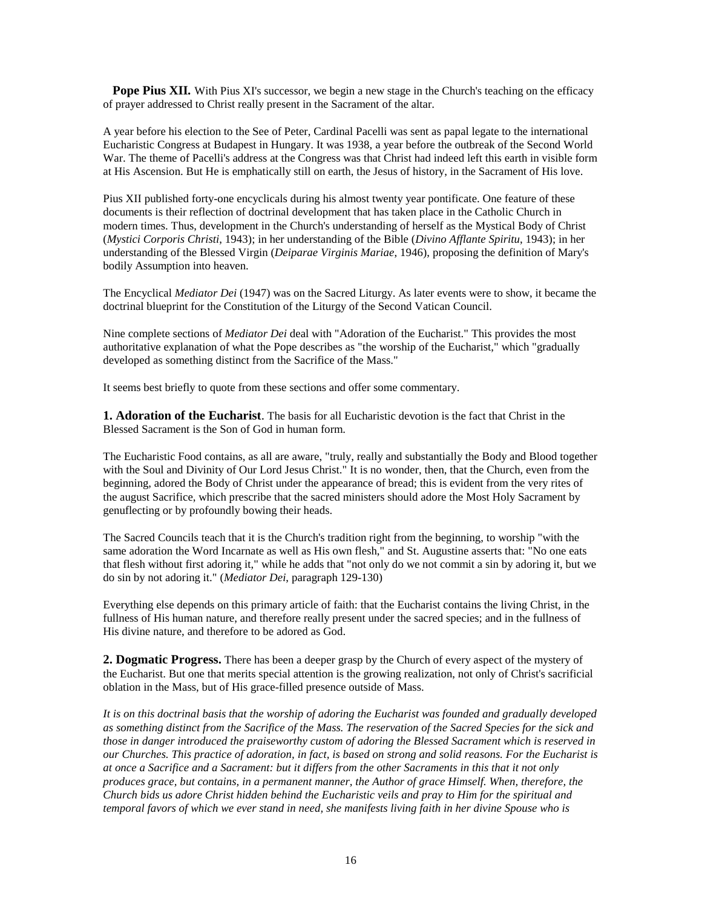**Pope Pius XII.** With Pius XI's successor, we begin a new stage in the Church's teaching on the efficacy of prayer addressed to Christ really present in the Sacrament of the altar.

A year before his election to the See of Peter, Cardinal Pacelli was sent as papal legate to the international Eucharistic Congress at Budapest in Hungary. It was 1938, a year before the outbreak of the Second World War. The theme of Pacelli's address at the Congress was that Christ had indeed left this earth in visible form at His Ascension. But He is emphatically still on earth, the Jesus of history, in the Sacrament of His love.

Pius XII published forty-one encyclicals during his almost twenty year pontificate. One feature of these documents is their reflection of doctrinal development that has taken place in the Catholic Church in modern times. Thus, development in the Church's understanding of herself as the Mystical Body of Christ (*Mystici Corporis Christi*, 1943); in her understanding of the Bible (*Divino Afflante Spiritu*, 1943); in her understanding of the Blessed Virgin (*Deiparae Virginis Mariae*, 1946), proposing the definition of Mary's bodily Assumption into heaven.

The Encyclical *Mediator Dei* (1947) was on the Sacred Liturgy. As later events were to show, it became the doctrinal blueprint for the Constitution of the Liturgy of the Second Vatican Council.

Nine complete sections of *Mediator Dei* deal with "Adoration of the Eucharist." This provides the most authoritative explanation of what the Pope describes as "the worship of the Eucharist," which "gradually developed as something distinct from the Sacrifice of the Mass."

It seems best briefly to quote from these sections and offer some commentary.

**1. Adoration of the Eucharist**. The basis for all Eucharistic devotion is the fact that Christ in the Blessed Sacrament is the Son of God in human form.

The Eucharistic Food contains, as all are aware, "truly, really and substantially the Body and Blood together with the Soul and Divinity of Our Lord Jesus Christ." It is no wonder, then, that the Church, even from the beginning, adored the Body of Christ under the appearance of bread; this is evident from the very rites of the august Sacrifice, which prescribe that the sacred ministers should adore the Most Holy Sacrament by genuflecting or by profoundly bowing their heads.

The Sacred Councils teach that it is the Church's tradition right from the beginning, to worship "with the same adoration the Word Incarnate as well as His own flesh," and St. Augustine asserts that: "No one eats that flesh without first adoring it," while he adds that "not only do we not commit a sin by adoring it, but we do sin by not adoring it." (*Mediator Dei*, paragraph 129-130)

Everything else depends on this primary article of faith: that the Eucharist contains the living Christ, in the fullness of His human nature, and therefore really present under the sacred species; and in the fullness of His divine nature, and therefore to be adored as God.

**2. Dogmatic Progress.** There has been a deeper grasp by the Church of every aspect of the mystery of the Eucharist. But one that merits special attention is the growing realization, not only of Christ's sacrificial oblation in the Mass, but of His grace-filled presence outside of Mass.

*It is on this doctrinal basis that the worship of adoring the Eucharist was founded and gradually developed as something distinct from the Sacrifice of the Mass. The reservation of the Sacred Species for the sick and those in danger introduced the praiseworthy custom of adoring the Blessed Sacrament which is reserved in our Churches. This practice of adoration, in fact, is based on strong and solid reasons. For the Eucharist is at once a Sacrifice and a Sacrament: but it differs from the other Sacraments in this that it not only produces grace, but contains, in a permanent manner, the Author of grace Himself. When, therefore, the Church bids us adore Christ hidden behind the Eucharistic veils and pray to Him for the spiritual and temporal favors of which we ever stand in need, she manifests living faith in her divine Spouse who is*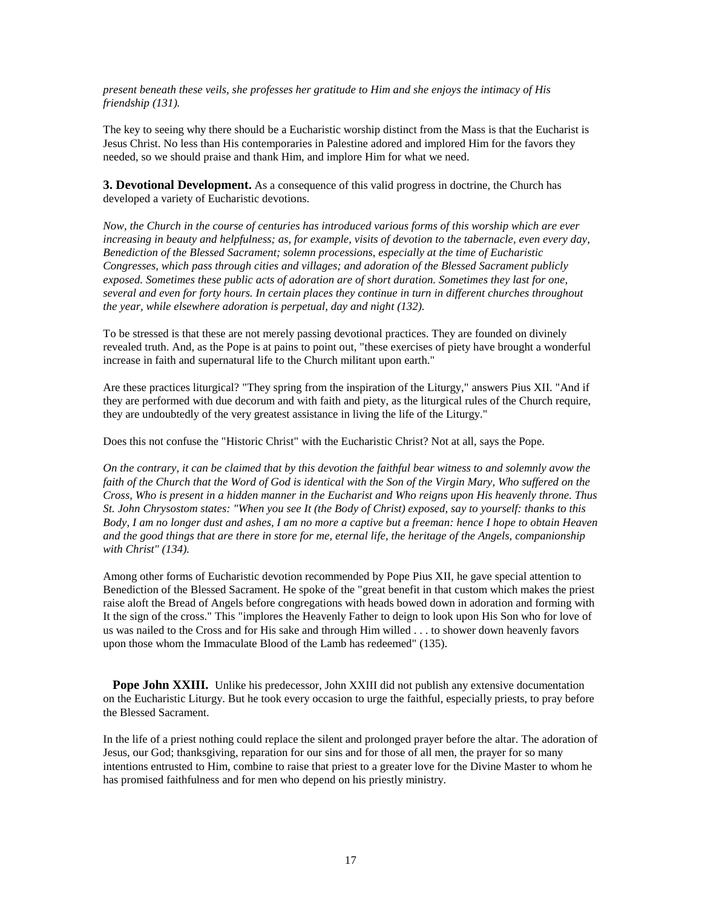*present beneath these veils, she professes her gratitude to Him and she enjoys the intimacy of His friendship (131).* 

The key to seeing why there should be a Eucharistic worship distinct from the Mass is that the Eucharist is Jesus Christ. No less than His contemporaries in Palestine adored and implored Him for the favors they needed, so we should praise and thank Him, and implore Him for what we need.

**3. Devotional Development.** As a consequence of this valid progress in doctrine, the Church has developed a variety of Eucharistic devotions.

*Now, the Church in the course of centuries has introduced various forms of this worship which are ever increasing in beauty and helpfulness; as, for example, visits of devotion to the tabernacle, even every day, Benediction of the Blessed Sacrament; solemn processions, especially at the time of Eucharistic Congresses, which pass through cities and villages; and adoration of the Blessed Sacrament publicly exposed. Sometimes these public acts of adoration are of short duration. Sometimes they last for one, several and even for forty hours. In certain places they continue in turn in different churches throughout the year, while elsewhere adoration is perpetual, day and night (132).* 

To be stressed is that these are not merely passing devotional practices. They are founded on divinely revealed truth. And, as the Pope is at pains to point out, "these exercises of piety have brought a wonderful increase in faith and supernatural life to the Church militant upon earth."

Are these practices liturgical? "They spring from the inspiration of the Liturgy," answers Pius XII. "And if they are performed with due decorum and with faith and piety, as the liturgical rules of the Church require, they are undoubtedly of the very greatest assistance in living the life of the Liturgy."

Does this not confuse the "Historic Christ" with the Eucharistic Christ? Not at all, says the Pope.

*On the contrary, it can be claimed that by this devotion the faithful bear witness to and solemnly avow the faith of the Church that the Word of God is identical with the Son of the Virgin Mary, Who suffered on the Cross, Who is present in a hidden manner in the Eucharist and Who reigns upon His heavenly throne. Thus St. John Chrysostom states: "When you see It (the Body of Christ) exposed, say to yourself: thanks to this Body, I am no longer dust and ashes, I am no more a captive but a freeman: hence I hope to obtain Heaven and the good things that are there in store for me, eternal life, the heritage of the Angels, companionship with Christ" (134).* 

Among other forms of Eucharistic devotion recommended by Pope Pius XII, he gave special attention to Benediction of the Blessed Sacrament. He spoke of the "great benefit in that custom which makes the priest raise aloft the Bread of Angels before congregations with heads bowed down in adoration and forming with It the sign of the cross." This "implores the Heavenly Father to deign to look upon His Son who for love of us was nailed to the Cross and for His sake and through Him willed . . . to shower down heavenly favors upon those whom the Immaculate Blood of the Lamb has redeemed" (135).

**Pope John XXIII.** Unlike his predecessor, John XXIII did not publish any extensive documentation on the Eucharistic Liturgy. But he took every occasion to urge the faithful, especially priests, to pray before the Blessed Sacrament.

In the life of a priest nothing could replace the silent and prolonged prayer before the altar. The adoration of Jesus, our God; thanksgiving, reparation for our sins and for those of all men, the prayer for so many intentions entrusted to Him, combine to raise that priest to a greater love for the Divine Master to whom he has promised faithfulness and for men who depend on his priestly ministry.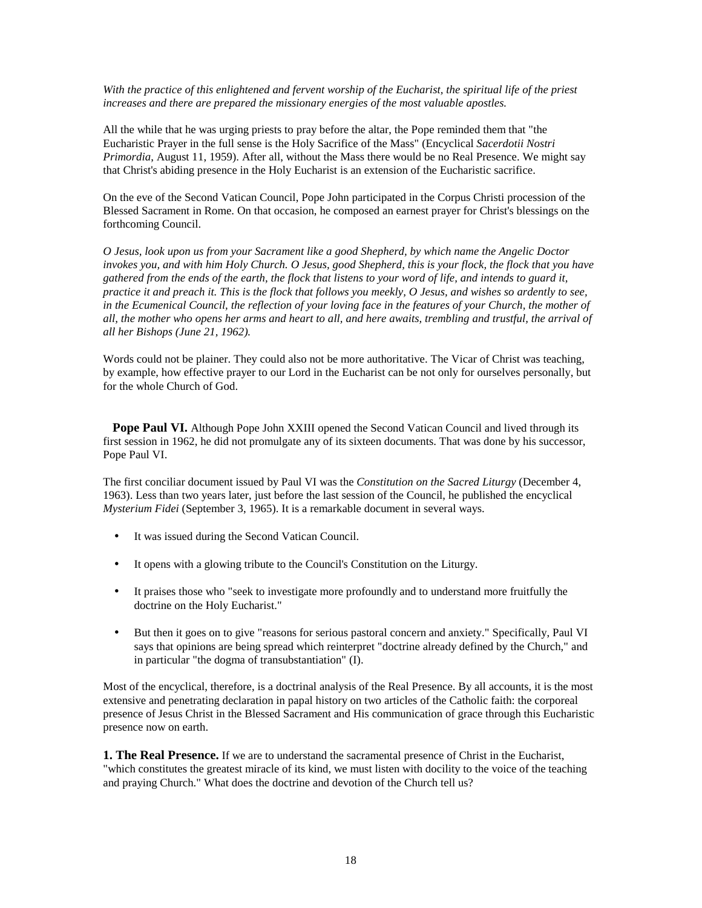*With the practice of this enlightened and fervent worship of the Eucharist, the spiritual life of the priest increases and there are prepared the missionary energies of the most valuable apostles.* 

All the while that he was urging priests to pray before the altar, the Pope reminded them that "the Eucharistic Prayer in the full sense is the Holy Sacrifice of the Mass" (Encyclical *Sacerdotii Nostri Primordia*, August 11, 1959). After all, without the Mass there would be no Real Presence. We might say that Christ's abiding presence in the Holy Eucharist is an extension of the Eucharistic sacrifice.

On the eve of the Second Vatican Council, Pope John participated in the Corpus Christi procession of the Blessed Sacrament in Rome. On that occasion, he composed an earnest prayer for Christ's blessings on the forthcoming Council.

*O Jesus, look upon us from your Sacrament like a good Shepherd, by which name the Angelic Doctor invokes you, and with him Holy Church. O Jesus, good Shepherd, this is your flock, the flock that you have gathered from the ends of the earth, the flock that listens to your word of life, and intends to guard it, practice it and preach it. This is the flock that follows you meekly, O Jesus, and wishes so ardently to see, in the Ecumenical Council, the reflection of your loving face in the features of your Church, the mother of all, the mother who opens her arms and heart to all, and here awaits, trembling and trustful, the arrival of all her Bishops (June 21, 1962).* 

Words could not be plainer. They could also not be more authoritative. The Vicar of Christ was teaching, by example, how effective prayer to our Lord in the Eucharist can be not only for ourselves personally, but for the whole Church of God.

 **Pope Paul VI.** Although Pope John XXIII opened the Second Vatican Council and lived through its first session in 1962, he did not promulgate any of its sixteen documents. That was done by his successor, Pope Paul VI.

The first conciliar document issued by Paul VI was the *Constitution on the Sacred Liturgy* (December 4, 1963). Less than two years later, just before the last session of the Council, he published the encyclical *Mysterium Fidei* (September 3, 1965). It is a remarkable document in several ways.

- It was issued during the Second Vatican Council.
- It opens with a glowing tribute to the Council's Constitution on the Liturgy.
- It praises those who "seek to investigate more profoundly and to understand more fruitfully the doctrine on the Holy Eucharist."
- But then it goes on to give "reasons for serious pastoral concern and anxiety." Specifically, Paul VI says that opinions are being spread which reinterpret "doctrine already defined by the Church," and in particular "the dogma of transubstantiation" (I).

Most of the encyclical, therefore, is a doctrinal analysis of the Real Presence. By all accounts, it is the most extensive and penetrating declaration in papal history on two articles of the Catholic faith: the corporeal presence of Jesus Christ in the Blessed Sacrament and His communication of grace through this Eucharistic presence now on earth.

**1. The Real Presence.** If we are to understand the sacramental presence of Christ in the Eucharist, "which constitutes the greatest miracle of its kind, we must listen with docility to the voice of the teaching and praying Church." What does the doctrine and devotion of the Church tell us?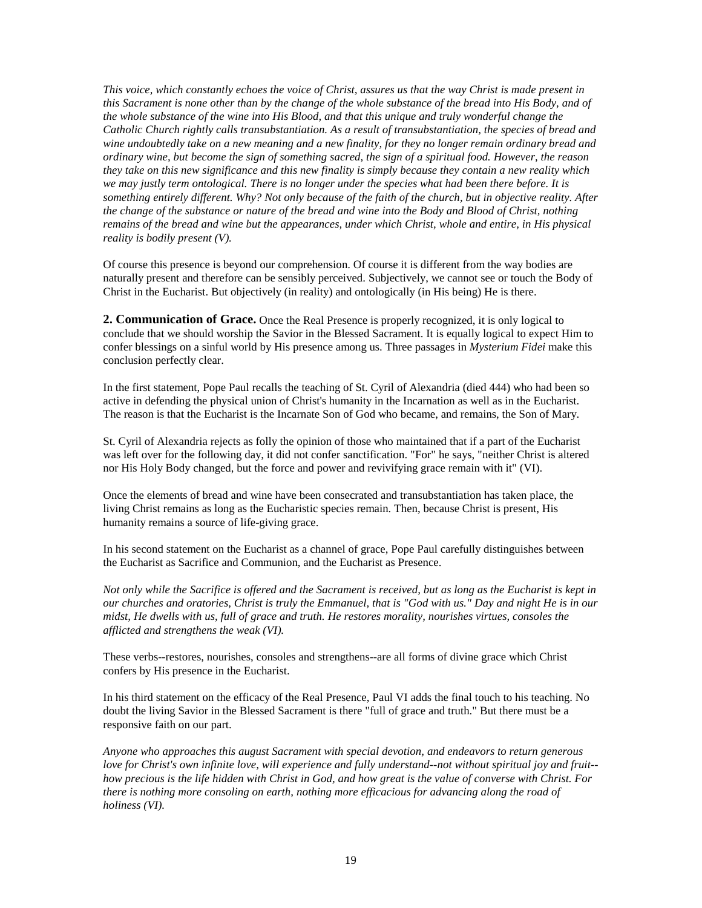*This voice, which constantly echoes the voice of Christ, assures us that the way Christ is made present in this Sacrament is none other than by the change of the whole substance of the bread into His Body, and of the whole substance of the wine into His Blood, and that this unique and truly wonderful change the Catholic Church rightly calls transubstantiation. As a result of transubstantiation, the species of bread and wine undoubtedly take on a new meaning and a new finality, for they no longer remain ordinary bread and ordinary wine, but become the sign of something sacred, the sign of a spiritual food. However, the reason they take on this new significance and this new finality is simply because they contain a new reality which we may justly term ontological. There is no longer under the species what had been there before. It is something entirely different. Why? Not only because of the faith of the church, but in objective reality. After the change of the substance or nature of the bread and wine into the Body and Blood of Christ, nothing remains of the bread and wine but the appearances, under which Christ, whole and entire, in His physical reality is bodily present (V).* 

Of course this presence is beyond our comprehension. Of course it is different from the way bodies are naturally present and therefore can be sensibly perceived. Subjectively, we cannot see or touch the Body of Christ in the Eucharist. But objectively (in reality) and ontologically (in His being) He is there.

**2. Communication of Grace.** Once the Real Presence is properly recognized, it is only logical to conclude that we should worship the Savior in the Blessed Sacrament. It is equally logical to expect Him to confer blessings on a sinful world by His presence among us. Three passages in *Mysterium Fidei* make this conclusion perfectly clear.

In the first statement, Pope Paul recalls the teaching of St. Cyril of Alexandria (died 444) who had been so active in defending the physical union of Christ's humanity in the Incarnation as well as in the Eucharist. The reason is that the Eucharist is the Incarnate Son of God who became, and remains, the Son of Mary.

St. Cyril of Alexandria rejects as folly the opinion of those who maintained that if a part of the Eucharist was left over for the following day, it did not confer sanctification. "For" he says, "neither Christ is altered nor His Holy Body changed, but the force and power and revivifying grace remain with it" (VI).

Once the elements of bread and wine have been consecrated and transubstantiation has taken place, the living Christ remains as long as the Eucharistic species remain. Then, because Christ is present, His humanity remains a source of life-giving grace.

In his second statement on the Eucharist as a channel of grace, Pope Paul carefully distinguishes between the Eucharist as Sacrifice and Communion, and the Eucharist as Presence.

*Not only while the Sacrifice is offered and the Sacrament is received, but as long as the Eucharist is kept in our churches and oratories, Christ is truly the Emmanuel, that is "God with us." Day and night He is in our midst, He dwells with us, full of grace and truth. He restores morality, nourishes virtues, consoles the afflicted and strengthens the weak (VI).* 

These verbs--restores, nourishes, consoles and strengthens--are all forms of divine grace which Christ confers by His presence in the Eucharist.

In his third statement on the efficacy of the Real Presence, Paul VI adds the final touch to his teaching. No doubt the living Savior in the Blessed Sacrament is there "full of grace and truth." But there must be a responsive faith on our part.

*Anyone who approaches this august Sacrament with special devotion, and endeavors to return generous love for Christ's own infinite love, will experience and fully understand--not without spiritual joy and fruit- how precious is the life hidden with Christ in God, and how great is the value of converse with Christ. For there is nothing more consoling on earth, nothing more efficacious for advancing along the road of holiness (VI).*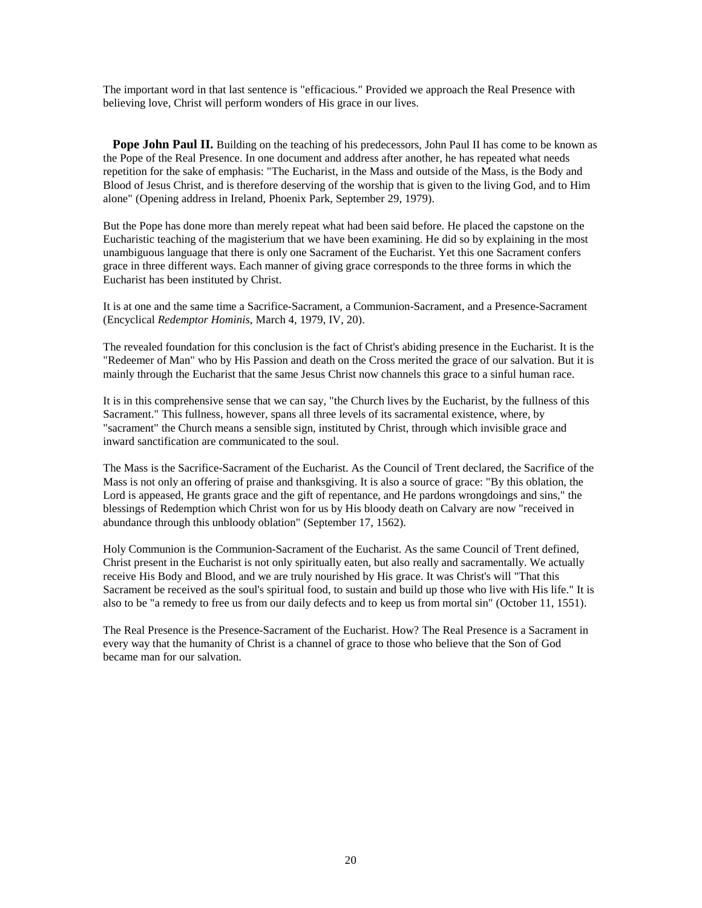The important word in that last sentence is "efficacious." Provided we approach the Real Presence with believing love, Christ will perform wonders of His grace in our lives.

**Pope John Paul II.** Building on the teaching of his predecessors, John Paul II has come to be known as the Pope of the Real Presence. In one document and address after another, he has repeated what needs repetition for the sake of emphasis: "The Eucharist, in the Mass and outside of the Mass, is the Body and Blood of Jesus Christ, and is therefore deserving of the worship that is given to the living God, and to Him alone" (Opening address in Ireland, Phoenix Park, September 29, 1979).

But the Pope has done more than merely repeat what had been said before. He placed the capstone on the Eucharistic teaching of the magisterium that we have been examining. He did so by explaining in the most unambiguous language that there is only one Sacrament of the Eucharist. Yet this one Sacrament confers grace in three different ways. Each manner of giving grace corresponds to the three forms in which the Eucharist has been instituted by Christ.

It is at one and the same time a Sacrifice-Sacrament, a Communion-Sacrament, and a Presence-Sacrament (Encyclical *Redemptor Hominis*, March 4, 1979, IV, 20).

The revealed foundation for this conclusion is the fact of Christ's abiding presence in the Eucharist. It is the "Redeemer of Man" who by His Passion and death on the Cross merited the grace of our salvation. But it is mainly through the Eucharist that the same Jesus Christ now channels this grace to a sinful human race.

It is in this comprehensive sense that we can say, "the Church lives by the Eucharist, by the fullness of this Sacrament." This fullness, however, spans all three levels of its sacramental existence, where, by "sacrament" the Church means a sensible sign, instituted by Christ, through which invisible grace and inward sanctification are communicated to the soul.

The Mass is the Sacrifice-Sacrament of the Eucharist. As the Council of Trent declared, the Sacrifice of the Mass is not only an offering of praise and thanksgiving. It is also a source of grace: "By this oblation, the Lord is appeased, He grants grace and the gift of repentance, and He pardons wrongdoings and sins," the blessings of Redemption which Christ won for us by His bloody death on Calvary are now "received in abundance through this unbloody oblation" (September 17, 1562).

Holy Communion is the Communion-Sacrament of the Eucharist. As the same Council of Trent defined, Christ present in the Eucharist is not only spiritually eaten, but also really and sacramentally. We actually receive His Body and Blood, and we are truly nourished by His grace. It was Christ's will "That this Sacrament be received as the soul's spiritual food, to sustain and build up those who live with His life." It is also to be "a remedy to free us from our daily defects and to keep us from mortal sin" (October 11, 1551).

The Real Presence is the Presence-Sacrament of the Eucharist. How? The Real Presence is a Sacrament in every way that the humanity of Christ is a channel of grace to those who believe that the Son of God became man for our salvation.